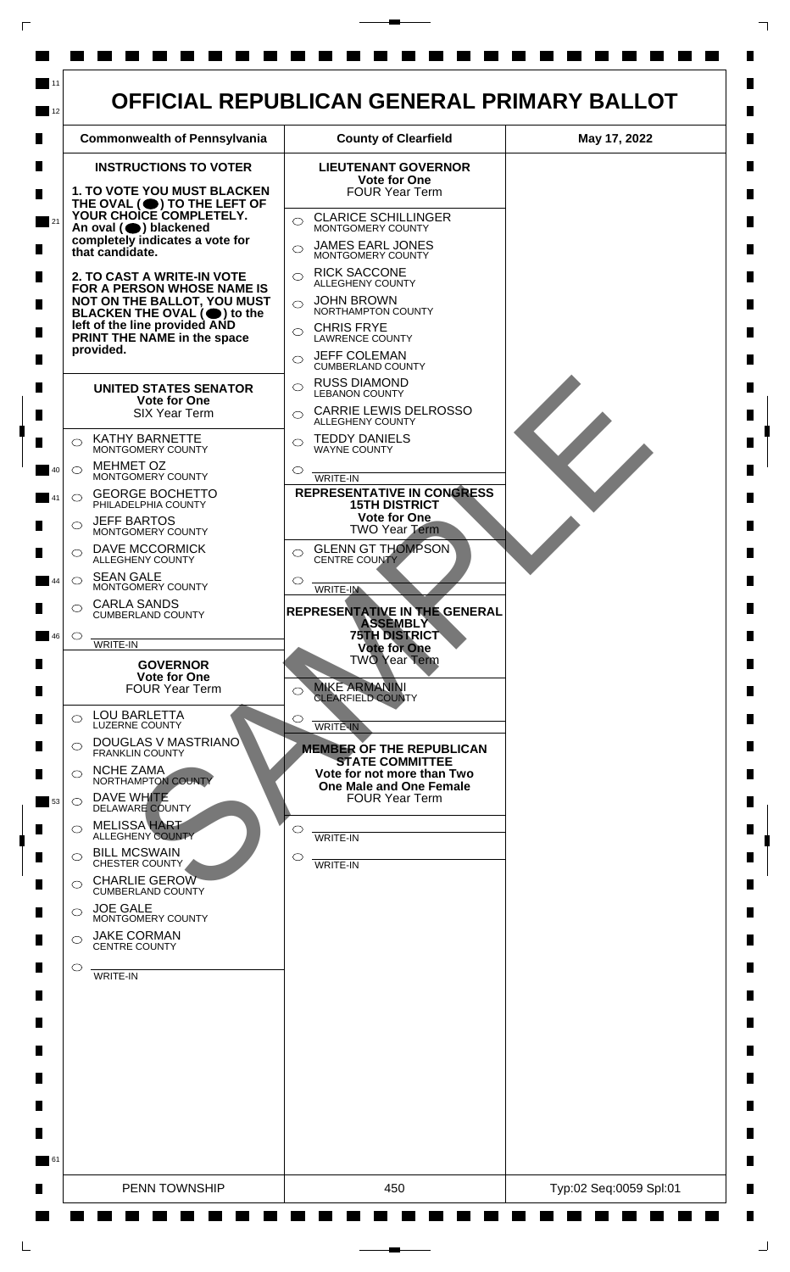

 $\mathsf{L}$ 

 $\Box$